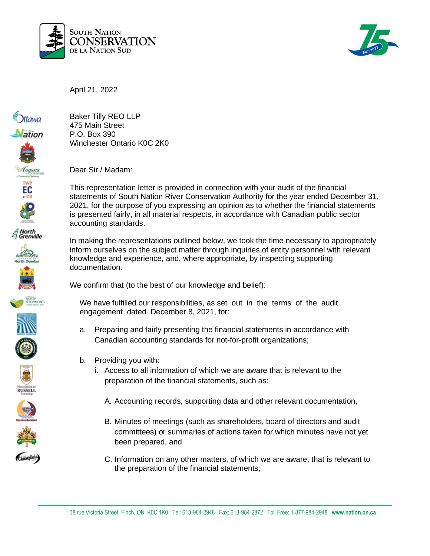



 $\bigcap$ ttawa lation Hugusta  $\overrightarrow{EC}$ | North<br>|Grenville



NORTH<br>STORM<br>spotpher

OINT

is presented fairly, in all material respects, in accordance with Canadian public sector accounting standards. In making the representations outlined below, we took the time necessary to appropriately inform ourselves on the subject matter through inquiries of entity personnel with relevant

statements of South Nation River Conservation Authority for the year ended December 31, 2021, for the purpose of you expressing an opinion as to whether the financial statements

This representation letter is provided in connection with your audit of the financial

knowledge and experience, and, where appropriate, by inspecting supporting documentation.

We confirm that (to the best of our knowledge and belief):

We have fulfilled our responsibilities, as set out in the terms of the audit engagement dated December 8, 2021, for:

- a. Preparing and fairly presenting the financial statements in accordance with Canadian accounting standards for not-for-profit organizations;
- b. Providing you with:
	- i. Access to all information of which we are aware that is relevant to the preparation of the financial statements, such as:

A. Accounting records, supporting data and other relevant documentation,

- B. Minutes of meetings (such as shareholders, board of directors and audit committees) or summaries of actions taken for which minutes have not yet been prepared, and
- C. Information on any other matters, of which we are aware, that is relevant to the preparation of the financial statements;

April 21, 2022

Baker Tilly REO LLP 475 Main Street P.O. Box 390 Winchester Ontario K0C 2K0

Dear Sir / Madam: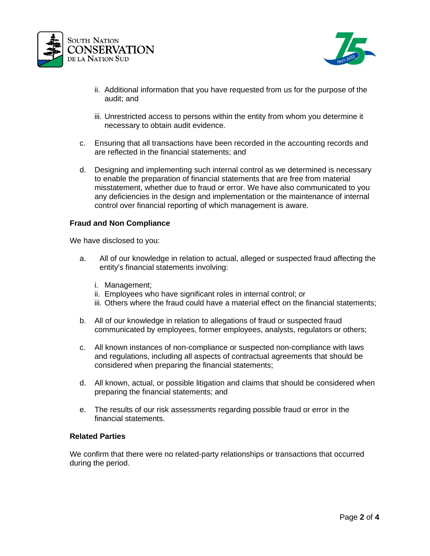



- ii. Additional information that you have requested from us for the purpose of the audit; and
- iii. Unrestricted access to persons within the entity from whom you determine it necessary to obtain audit evidence.
- c. Ensuring that all transactions have been recorded in the accounting records and are reflected in the financial statements; and
- d. Designing and implementing such internal control as we determined is necessary to enable the preparation of financial statements that are free from material misstatement, whether due to fraud or error. We have also communicated to you any deficiencies in the design and implementation or the maintenance of internal control over financial reporting of which management is aware.

#### **Fraud and Non Compliance**

We have disclosed to you:

- a. All of our knowledge in relation to actual, alleged or suspected fraud affecting the entity's financial statements involving:
	- i. Management;
	- ii. Employees who have significant roles in internal control; or
	- iii. Others where the fraud could have a material effect on the financial statements;
- b. All of our knowledge in relation to allegations of fraud or suspected fraud communicated by employees, former employees, analysts, regulators or others;
- c. All known instances of non-compliance or suspected non-compliance with laws and regulations, including all aspects of contractual agreements that should be considered when preparing the financial statements;
- d. All known, actual, or possible litigation and claims that should be considered when preparing the financial statements; and
- e. The results of our risk assessments regarding possible fraud or error in the financial statements.

# **Related Parties**

We confirm that there were no related-party relationships or transactions that occurred during the period.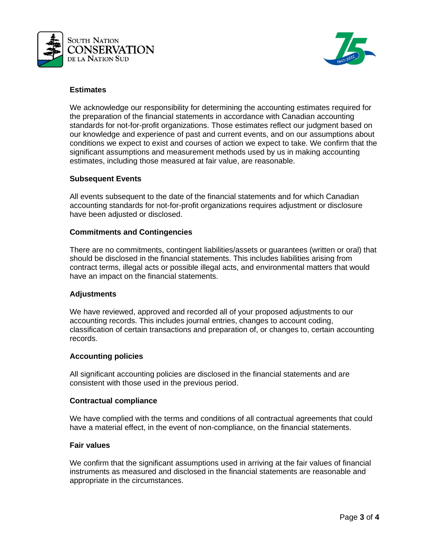



# **Estimates**

We acknowledge our responsibility for determining the accounting estimates required for the preparation of the financial statements in accordance with Canadian accounting standards for not-for-profit organizations. Those estimates reflect our judgment based on our knowledge and experience of past and current events, and on our assumptions about conditions we expect to exist and courses of action we expect to take. We confirm that the significant assumptions and measurement methods used by us in making accounting estimates, including those measured at fair value, are reasonable.

# **Subsequent Events**

All events subsequent to the date of the financial statements and for which Canadian accounting standards for not-for-profit organizations requires adjustment or disclosure have been adjusted or disclosed.

# **Commitments and Contingencies**

There are no commitments, contingent liabilities/assets or guarantees (written or oral) that should be disclosed in the financial statements. This includes liabilities arising from contract terms, illegal acts or possible illegal acts, and environmental matters that would have an impact on the financial statements.

#### **Adjustments**

We have reviewed, approved and recorded all of your proposed adjustments to our accounting records. This includes journal entries, changes to account coding, classification of certain transactions and preparation of, or changes to, certain accounting records.

#### **Accounting policies**

All significant accounting policies are disclosed in the financial statements and are consistent with those used in the previous period.

#### **Contractual compliance**

We have complied with the terms and conditions of all contractual agreements that could have a material effect, in the event of non-compliance, on the financial statements.

#### **Fair values**

We confirm that the significant assumptions used in arriving at the fair values of financial instruments as measured and disclosed in the financial statements are reasonable and appropriate in the circumstances.